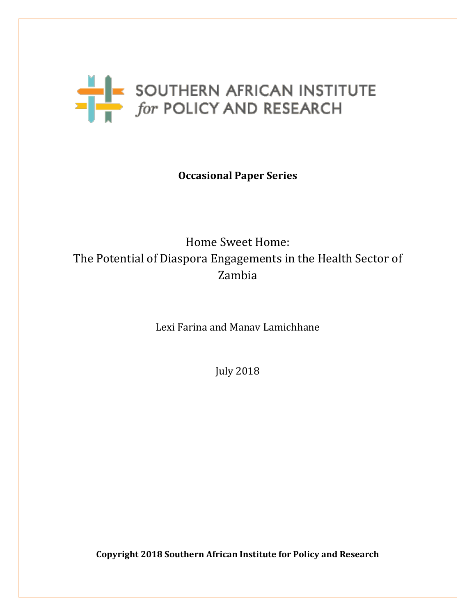

# **Occasional Paper Series**

# Home Sweet Home: The Potential of Diaspora Engagements in the Health Sector of Zambia

Lexi Farina and Manav Lamichhane

July 2018

**Copyright 2018 Southern African Institute for Policy and Research**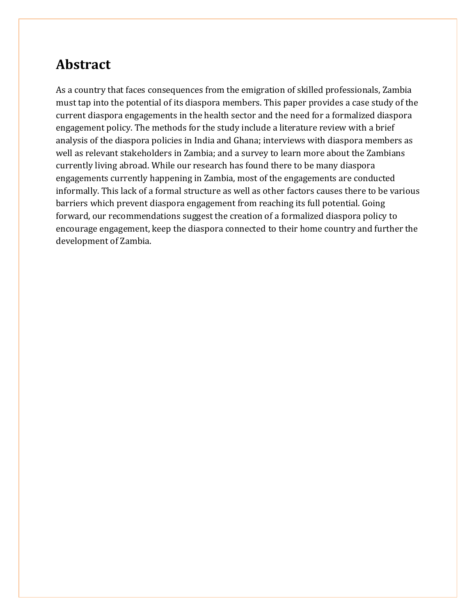# **Abstract**

As a country that faces consequences from the emigration of skilled professionals, Zambia must tap into the potential of its diaspora members. This paper provides a case study of the current diaspora engagements in the health sector and the need for a formalized diaspora engagement policy. The methods for the study include a literature review with a brief analysis of the diaspora policies in India and Ghana; interviews with diaspora members as well as relevant stakeholders in Zambia; and a survey to learn more about the Zambians currently living abroad. While our research has found there to be many diaspora engagements currently happening in Zambia, most of the engagements are conducted informally. This lack of a formal structure as well as other factors causes there to be various barriers which prevent diaspora engagement from reaching its full potential. Going forward, our recommendations suggest the creation of a formalized diaspora policy to encourage engagement, keep the diaspora connected to their home country and further the development of Zambia.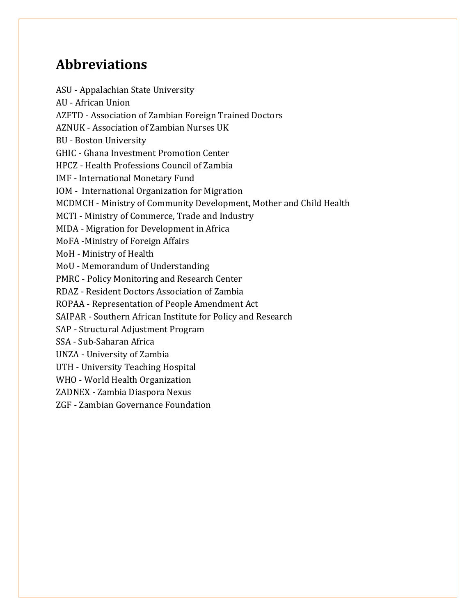# **Abbreviations**

ASU - Appalachian State University AU - African Union AZFTD - Association of Zambian Foreign Trained Doctors AZNUK - Association of Zambian Nurses UK BU - Boston University GHIC - Ghana Investment Promotion Center HPCZ - Health Professions Council of Zambia IMF - International Monetary Fund IOM - International Organization for Migration MCDMCH - Ministry of Community Development, Mother and Child Health MCTI - Ministry of Commerce, Trade and Industry MIDA - Migration for Development in Africa MoFA -Ministry of Foreign Affairs MoH - Ministry of Health MoU - Memorandum of Understanding PMRC - Policy Monitoring and Research Center RDAZ - Resident Doctors Association of Zambia ROPAA - Representation of People Amendment Act SAIPAR - Southern African Institute for Policy and Research SAP - Structural Adjustment Program SSA - Sub-Saharan Africa UNZA - University of Zambia UTH - University Teaching Hospital WHO - World Health Organization ZADNEX - Zambia Diaspora Nexus ZGF - Zambian Governance Foundation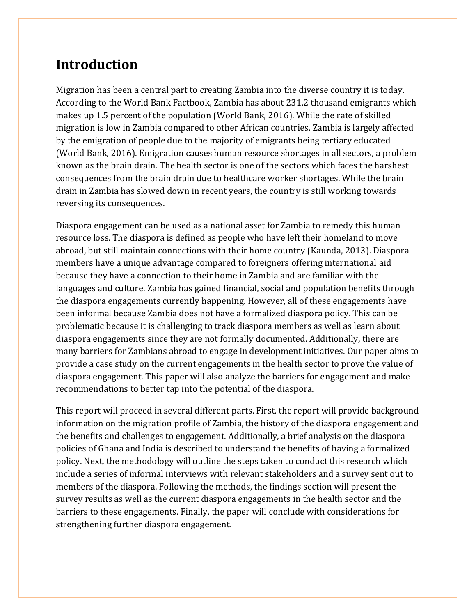# **Introduction**

Migration has been a central part to creating Zambia into the diverse country it is today. According to the World Bank Factbook, Zambia has about 231.2 thousand emigrants which makes up 1.5 percent of the population (World Bank, 2016). While the rate of skilled migration is low in Zambia compared to other African countries, Zambia is largely affected by the emigration of people due to the majority of emigrants being tertiary educated (World Bank, 2016). Emigration causes human resource shortages in all sectors, a problem known as the brain drain. The health sector is one of the sectors which faces the harshest consequences from the brain drain due to healthcare worker shortages. While the brain drain in Zambia has slowed down in recent years, the country is still working towards reversing its consequences.

Diaspora engagement can be used as a national asset for Zambia to remedy this human resource loss. The diaspora is defined as people who have left their homeland to move abroad, but still maintain connections with their home country (Kaunda, 2013). Diaspora members have a unique advantage compared to foreigners offering international aid because they have a connection to their home in Zambia and are familiar with the languages and culture. Zambia has gained financial, social and population benefits through the diaspora engagements currently happening. However, all of these engagements have been informal because Zambia does not have a formalized diaspora policy. This can be problematic because it is challenging to track diaspora members as well as learn about diaspora engagements since they are not formally documented. Additionally, there are many barriers for Zambians abroad to engage in development initiatives. Our paper aims to provide a case study on the current engagements in the health sector to prove the value of diaspora engagement. This paper will also analyze the barriers for engagement and make recommendations to better tap into the potential of the diaspora.

This report will proceed in several different parts. First, the report will provide background information on the migration profile of Zambia, the history of the diaspora engagement and the benefits and challenges to engagement. Additionally, a brief analysis on the diaspora policies of Ghana and India is described to understand the benefits of having a formalized policy. Next, the methodology will outline the steps taken to conduct this research which include a series of informal interviews with relevant stakeholders and a survey sent out to members of the diaspora. Following the methods, the findings section will present the survey results as well as the current diaspora engagements in the health sector and the barriers to these engagements. Finally, the paper will conclude with considerations for strengthening further diaspora engagement.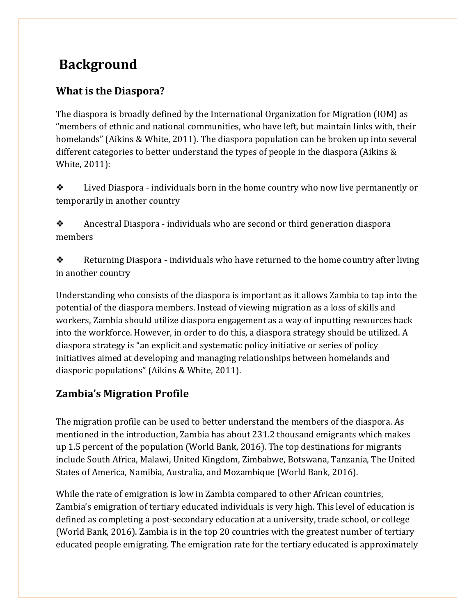# **Background**

# **What is the Diaspora?**

The diaspora is broadly defined by the International Organization for Migration (IOM) as "members of ethnic and national communities, who have left, but maintain links with, their homelands" (Aikins & White, 2011). The diaspora population can be broken up into several different categories to better understand the types of people in the diaspora (Aikins & White, 2011):

❖ Lived Diaspora - individuals born in the home country who now live permanently or temporarily in another country

❖ Ancestral Diaspora - individuals who are second or third generation diaspora members

❖ Returning Diaspora - individuals who have returned to the home country after living in another country

Understanding who consists of the diaspora is important as it allows Zambia to tap into the potential of the diaspora members. Instead of viewing migration as a loss of skills and workers, Zambia should utilize diaspora engagement as a way of inputting resources back into the workforce. However, in order to do this, a diaspora strategy should be utilized. A diaspora strategy is "an explicit and systematic policy initiative or series of policy initiatives aimed at developing and managing relationships between homelands and diasporic populations" (Aikins & White, 2011).

# **Zambia's Migration Profile**

The migration profile can be used to better understand the members of the diaspora. As mentioned in the introduction, Zambia has about 231.2 thousand emigrants which makes up 1.5 percent of the population (World Bank, 2016). The top destinations for migrants include South Africa, Malawi, United Kingdom, Zimbabwe, Botswana, Tanzania, The United States of America, Namibia, Australia, and Mozambique (World Bank, 2016).

While the rate of emigration is low in Zambia compared to other African countries, Zambia's emigration of tertiary educated individuals is very high. This level of education is defined as completing a post-secondary education at a university, trade school, or college (World Bank, 2016). Zambia is in the top 20 countries with the greatest number of tertiary educated people emigrating. The emigration rate for the tertiary educated is approximately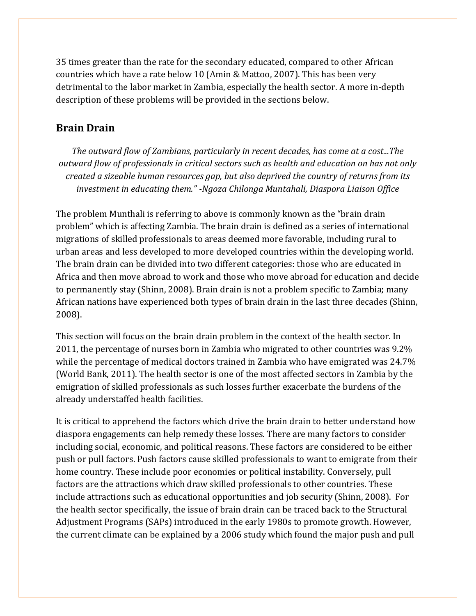35 times greater than the rate for the secondary educated, compared to other African countries which have a rate below 10 (Amin & Mattoo, 2007). This has been very detrimental to the labor market in Zambia, especially the health sector. A more in-depth description of these problems will be provided in the sections below.

# **Brain Drain**

*The outward flow of Zambians, particularly in recent decades, has come at a cost...The outward flow of professionals in critical sectors such as health and education on has not only created a sizeable human resources gap, but also deprived the country of returns from its investment in educating them." -Ngoza Chilonga Muntahali, Diaspora Liaison Office*

The problem Munthali is referring to above is commonly known as the "brain drain problem" which is affecting Zambia. The brain drain is defined as a series of international migrations of skilled professionals to areas deemed more favorable, including rural to urban areas and less developed to more developed countries within the developing world. The brain drain can be divided into two different categories: those who are educated in Africa and then move abroad to work and those who move abroad for education and decide to permanently stay (Shinn, 2008). Brain drain is not a problem specific to Zambia; many African nations have experienced both types of brain drain in the last three decades (Shinn, 2008).

This section will focus on the brain drain problem in the context of the health sector. In 2011, the percentage of nurses born in Zambia who migrated to other countries was 9.2% while the percentage of medical doctors trained in Zambia who have emigrated was 24.7% (World Bank, 2011). The health sector is one of the most affected sectors in Zambia by the emigration of skilled professionals as such losses further exacerbate the burdens of the already understaffed health facilities.

It is critical to apprehend the factors which drive the brain drain to better understand how diaspora engagements can help remedy these losses. There are many factors to consider including social, economic, and political reasons. These factors are considered to be either push or pull factors. Push factors cause skilled professionals to want to emigrate from their home country. These include poor economies or political instability. Conversely, pull factors are the attractions which draw skilled professionals to other countries. These include attractions such as educational opportunities and job security (Shinn, 2008). For the health sector specifically, the issue of brain drain can be traced back to the Structural Adjustment Programs (SAPs) introduced in the early 1980s to promote growth. However, the current climate can be explained by a 2006 study which found the major push and pull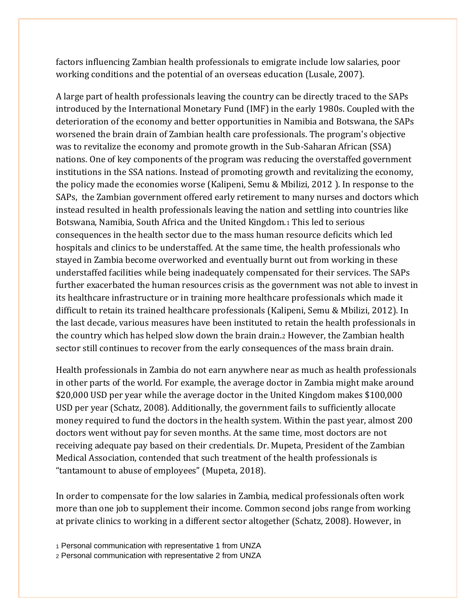factors influencing Zambian health professionals to emigrate include low salaries, poor working conditions and the potential of an overseas education (Lusale, 2007).

A large part of health professionals leaving the country can be directly traced to the SAPs introduced by the International Monetary Fund (IMF) in the early 1980s. Coupled with the deterioration of the economy and better opportunities in Namibia and Botswana, the SAPs worsened the brain drain of Zambian health care professionals. The program's objective was to revitalize the economy and promote growth in the Sub-Saharan African (SSA) nations. One of key components of the program was reducing the overstaffed government institutions in the SSA nations. Instead of promoting growth and revitalizing the economy, the policy made the economies worse (Kalipeni, Semu & Mbilizi, 2012 ). In response to the SAPs, the Zambian government offered early retirement to many nurses and doctors which instead resulted in health professionals leaving the nation and settling into countries like Botswana, Namibia, South Africa and the United Kingdom.<sup>1</sup> This led to serious consequences in the health sector due to the mass human resource deficits which led hospitals and clinics to be understaffed. At the same time, the health professionals who stayed in Zambia become overworked and eventually burnt out from working in these understaffed facilities while being inadequately compensated for their services. The SAPs further exacerbated the human resources crisis as the government was not able to invest in its healthcare infrastructure or in training more healthcare professionals which made it difficult to retain its trained healthcare professionals (Kalipeni, Semu & Mbilizi, 2012). In the last decade, various measures have been instituted to retain the health professionals in the country which has helped slow down the brain drain.<sup>2</sup> However, the Zambian health sector still continues to recover from the early consequences of the mass brain drain.

Health professionals in Zambia do not earn anywhere near as much as health professionals in other parts of the world. For example, the average doctor in Zambia might make around \$20,000 USD per year while the average doctor in the United Kingdom makes \$100,000 USD per year (Schatz, 2008). Additionally, the government fails to sufficiently allocate money required to fund the doctors in the health system. Within the past year, almost 200 doctors went without pay for seven months. At the same time, most doctors are not receiving adequate pay based on their credentials. Dr. Mupeta, President of the Zambian Medical Association, contended that such treatment of the health professionals is "tantamount to abuse of employees" (Mupeta, 2018).

In order to compensate for the low salaries in Zambia, medical professionals often work more than one job to supplement their income. Common second jobs range from working at private clinics to working in a different sector altogether (Schatz, 2008). However, in

<sup>1</sup> Personal communication with representative 1 from UNZA

<sup>2</sup> Personal communication with representative 2 from UNZA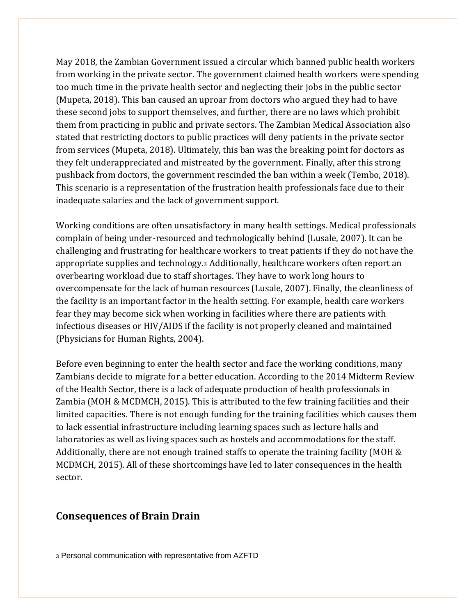May 2018, the Zambian Government issued a circular which banned public health workers from working in the private sector. The government claimed health workers were spending too much time in the private health sector and neglecting their jobs in the public sector (Mupeta, 2018). This ban caused an uproar from doctors who argued they had to have these second jobs to support themselves, and further, there are no laws which prohibit them from practicing in public and private sectors. The Zambian Medical Association also stated that restricting doctors to public practices will deny patients in the private sector from services (Mupeta, 2018). Ultimately, this ban was the breaking point for doctors as they felt underappreciated and mistreated by the government. Finally, after this strong pushback from doctors, the government rescinded the ban within a week (Tembo, 2018). This scenario is a representation of the frustration health professionals face due to their inadequate salaries and the lack of government support.

Working conditions are often unsatisfactory in many health settings. Medical professionals complain of being under-resourced and technologically behind (Lusale, 2007). It can be challenging and frustrating for healthcare workers to treat patients if they do not have the appropriate supplies and technology.<sup>3</sup> Additionally, healthcare workers often report an overbearing workload due to staff shortages. They have to work long hours to overcompensate for the lack of human resources (Lusale, 2007). Finally, the cleanliness of the facility is an important factor in the health setting. For example, health care workers fear they may become sick when working in facilities where there are patients with infectious diseases or HIV/AIDS if the facility is not properly cleaned and maintained (Physicians for Human Rights, 2004).

Before even beginning to enter the health sector and face the working conditions, many Zambians decide to migrate for a better education. According to the 2014 Midterm Review of the Health Sector, there is a lack of adequate production of health professionals in Zambia (MOH & MCDMCH, 2015). This is attributed to the few training facilities and their limited capacities. There is not enough funding for the training facilities which causes them to lack essential infrastructure including learning spaces such as lecture halls and laboratories as well as living spaces such as hostels and accommodations for the staff. Additionally, there are not enough trained staffs to operate the training facility (MOH & MCDMCH, 2015). All of these shortcomings have led to later consequences in the health sector.

#### **Consequences of Brain Drain**

<sup>3</sup> Personal communication with representative from AZFTD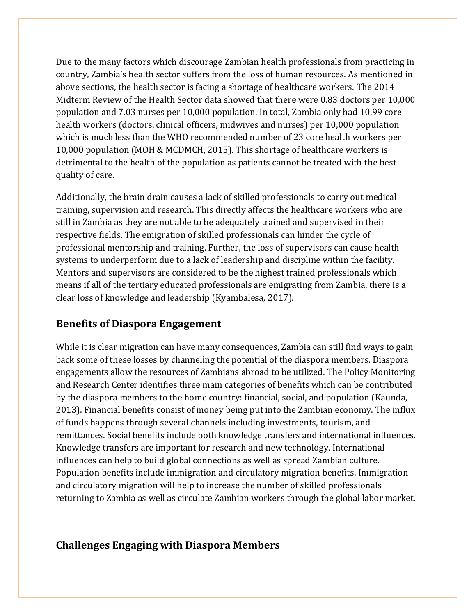Due to the many factors which discourage Zambian health professionals from practicing in country, Zambia's health sector suffers from the loss of human resources. As mentioned in above sections, the health sector is facing a shortage of healthcare workers. The 2014 Midterm Review of the Health Sector data showed that there were 0.83 doctors per 10,000 population and 7.03 nurses per 10,000 population. In total, Zambia only had 10.99 core health workers (doctors, clinical officers, midwives and nurses) per 10,000 population which is much less than the WHO recommended number of 23 core health workers per 10,000 population (MOH & MCDMCH, 2015). This shortage of healthcare workers is detrimental to the health of the population as patients cannot be treated with the best quality of care.

Additionally, the brain drain causes a lack of skilled professionals to carry out medical training, supervision and research. This directly affects the healthcare workers who are still in Zambia as they are not able to be adequately trained and supervised in their respective fields. The emigration of skilled professionals can hinder the cycle of professional mentorship and training. Further, the loss of supervisors can cause health systems to underperform due to a lack of leadership and discipline within the facility. Mentors and supervisors are considered to be the highest trained professionals which means if all of the tertiary educated professionals are emigrating from Zambia, there is a clear loss of knowledge and leadership (Kyambalesa, 2017).

## **Benefits of Diaspora Engagement**

While it is clear migration can have many consequences, Zambia can still find ways to gain back some of these losses by channeling the potential of the diaspora members. Diaspora engagements allow the resources of Zambians abroad to be utilized. The Policy Monitoring and Research Center identifies three main categories of benefits which can be contributed by the diaspora members to the home country: financial, social, and population (Kaunda, 2013). Financial benefits consist of money being put into the Zambian economy. The influx of funds happens through several channels including investments, tourism, and remittances. Social benefits include both knowledge transfers and international influences. Knowledge transfers are important for research and new technology. International influences can help to build global connections as well as spread Zambian culture. Population benefits include immigration and circulatory migration benefits. Immigration and circulatory migration will help to increase the number of skilled professionals returning to Zambia as well as circulate Zambian workers through the global labor market.

# **Challenges Engaging with Diaspora Members**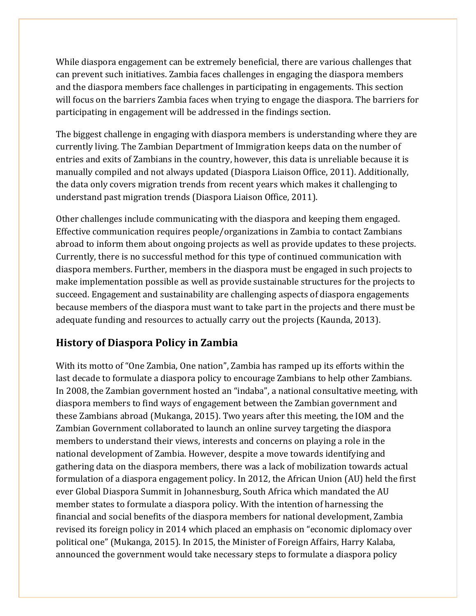While diaspora engagement can be extremely beneficial, there are various challenges that can prevent such initiatives. Zambia faces challenges in engaging the diaspora members and the diaspora members face challenges in participating in engagements. This section will focus on the barriers Zambia faces when trying to engage the diaspora. The barriers for participating in engagement will be addressed in the findings section.

The biggest challenge in engaging with diaspora members is understanding where they are currently living. The Zambian Department of Immigration keeps data on the number of entries and exits of Zambians in the country, however, this data is unreliable because it is manually compiled and not always updated (Diaspora Liaison Office, 2011). Additionally, the data only covers migration trends from recent years which makes it challenging to understand past migration trends (Diaspora Liaison Office, 2011).

Other challenges include communicating with the diaspora and keeping them engaged. Effective communication requires people/organizations in Zambia to contact Zambians abroad to inform them about ongoing projects as well as provide updates to these projects. Currently, there is no successful method for this type of continued communication with diaspora members. Further, members in the diaspora must be engaged in such projects to make implementation possible as well as provide sustainable structures for the projects to succeed. Engagement and sustainability are challenging aspects of diaspora engagements because members of the diaspora must want to take part in the projects and there must be adequate funding and resources to actually carry out the projects (Kaunda, 2013).

# **History of Diaspora Policy in Zambia**

With its motto of "One Zambia, One nation", Zambia has ramped up its efforts within the last decade to formulate a diaspora policy to encourage Zambians to help other Zambians. In 2008, the Zambian government hosted an "indaba", a national consultative meeting, with diaspora members to find ways of engagement between the Zambian government and these Zambians abroad (Mukanga, 2015). Two years after this meeting, the IOM and the Zambian Government collaborated to launch an online survey targeting the diaspora members to understand their views, interests and concerns on playing a role in the national development of Zambia. However, despite a move towards identifying and gathering data on the diaspora members, there was a lack of mobilization towards actual formulation of a diaspora engagement policy. In 2012, the African Union (AU) held the first ever Global Diaspora Summit in Johannesburg, South Africa which mandated the AU member states to formulate a diaspora policy. With the intention of harnessing the financial and social benefits of the diaspora members for national development, Zambia revised its foreign policy in 2014 which placed an emphasis on "economic diplomacy over political one" (Mukanga, 2015). In 2015, the Minister of Foreign Affairs, Harry Kalaba, announced the government would take necessary steps to formulate a diaspora policy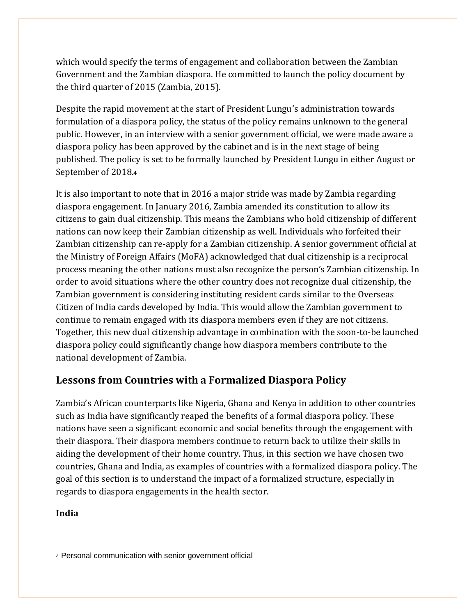which would specify the terms of engagement and collaboration between the Zambian Government and the Zambian diaspora. He committed to launch the policy document by the third quarter of 2015 (Zambia, 2015).

Despite the rapid movement at the start of President Lungu's administration towards formulation of a diaspora policy, the status of the policy remains unknown to the general public. However, in an interview with a senior government official, we were made aware a diaspora policy has been approved by the cabinet and is in the next stage of being published. The policy is set to be formally launched by President Lungu in either August or September of 2018.<sup>4</sup>

It is also important to note that in 2016 a major stride was made by Zambia regarding diaspora engagement. In January 2016, Zambia amended its constitution to allow its citizens to gain dual citizenship. This means the Zambians who hold citizenship of different nations can now keep their Zambian citizenship as well. Individuals who forfeited their Zambian citizenship can re-apply for a Zambian citizenship. A senior government official at the Ministry of Foreign Affairs (MoFA) acknowledged that dual citizenship is a reciprocal process meaning the other nations must also recognize the person's Zambian citizenship. In order to avoid situations where the other country does not recognize dual citizenship, the Zambian government is considering instituting resident cards similar to the Overseas Citizen of India cards developed by India. This would allow the Zambian government to continue to remain engaged with its diaspora members even if they are not citizens. Together, this new dual citizenship advantage in combination with the soon-to-be launched diaspora policy could significantly change how diaspora members contribute to the national development of Zambia.

# **Lessons from Countries with a Formalized Diaspora Policy**

Zambia's African counterparts like Nigeria, Ghana and Kenya in addition to other countries such as India have significantly reaped the benefits of a formal diaspora policy. These nations have seen a significant economic and social benefits through the engagement with their diaspora. Their diaspora members continue to return back to utilize their skills in aiding the development of their home country. Thus, in this section we have chosen two countries, Ghana and India, as examples of countries with a formalized diaspora policy. The goal of this section is to understand the impact of a formalized structure, especially in regards to diaspora engagements in the health sector.

#### **India**

<sup>4</sup> Personal communication with senior government official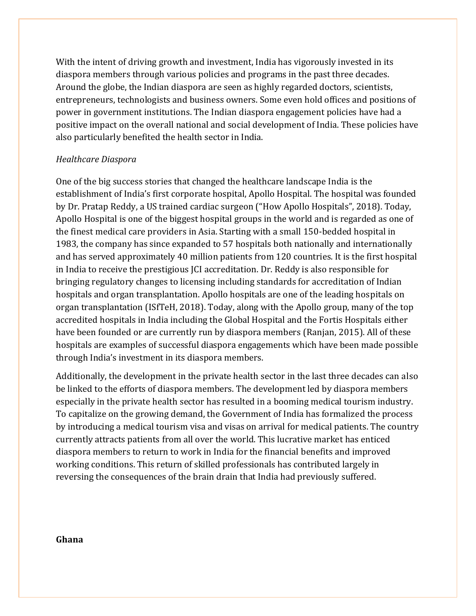With the intent of driving growth and investment, India has vigorously invested in its diaspora members through various policies and programs in the past three decades. Around the globe, the Indian diaspora are seen as highly regarded doctors, scientists, entrepreneurs, technologists and business owners. Some even hold offices and positions of power in government institutions. The Indian diaspora engagement policies have had a positive impact on the overall national and social development of India. These policies have also particularly benefited the health sector in India.

#### *Healthcare Diaspora*

One of the big success stories that changed the healthcare landscape India is the establishment of India's first corporate hospital, Apollo Hospital. The hospital was founded by Dr. Pratap Reddy, a US trained cardiac surgeon ("How Apollo Hospitals", 2018). Today, Apollo Hospital is one of the biggest hospital groups in the world and is regarded as one of the finest medical care providers in Asia. Starting with a small 150-bedded hospital in 1983, the company has since expanded to 57 hospitals both nationally and internationally and has served approximately 40 million patients from 120 countries. It is the first hospital in India to receive the prestigious JCI accreditation. Dr. Reddy is also responsible for bringing regulatory changes to licensing including standards for accreditation of Indian hospitals and organ transplantation. Apollo hospitals are one of the leading hospitals on organ transplantation (ISfTeH, 2018). Today, along with the Apollo group, many of the top accredited hospitals in India including the Global Hospital and the Fortis Hospitals either have been founded or are currently run by diaspora members (Ranjan, 2015). All of these hospitals are examples of successful diaspora engagements which have been made possible through India's investment in its diaspora members.

Additionally, the development in the private health sector in the last three decades can also be linked to the efforts of diaspora members. The development led by diaspora members especially in the private health sector has resulted in a booming medical tourism industry. To capitalize on the growing demand, the Government of India has formalized the process by introducing a medical tourism visa and visas on arrival for medical patients. The country currently attracts patients from all over the world. This lucrative market has enticed diaspora members to return to work in India for the financial benefits and improved working conditions. This return of skilled professionals has contributed largely in reversing the consequences of the brain drain that India had previously suffered.

#### **Ghana**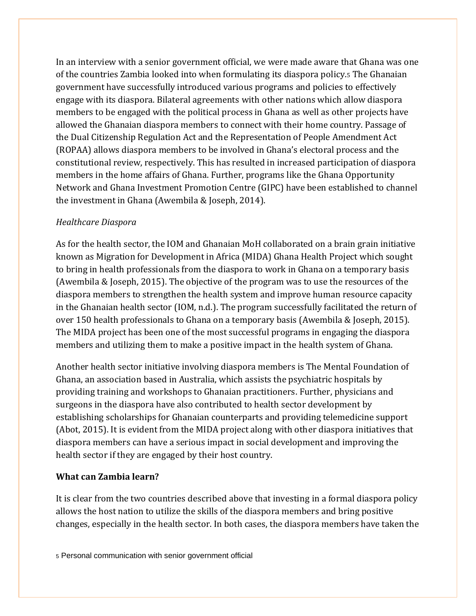In an interview with a senior government official, we were made aware that Ghana was one of the countries Zambia looked into when formulating its diaspora policy.<sup>5</sup> The Ghanaian government have successfully introduced various programs and policies to effectively engage with its diaspora. Bilateral agreements with other nations which allow diaspora members to be engaged with the political process in Ghana as well as other projects have allowed the Ghanaian diaspora members to connect with their home country. Passage of the Dual Citizenship Regulation Act and the Representation of People Amendment Act (ROPAA) allows diaspora members to be involved in Ghana's electoral process and the constitutional review, respectively. This has resulted in increased participation of diaspora members in the home affairs of Ghana. Further, programs like the Ghana Opportunity Network and Ghana Investment Promotion Centre (GIPC) have been established to channel the investment in Ghana (Awembila & Joseph, 2014).

#### *Healthcare Diaspora*

As for the health sector, the IOM and Ghanaian MoH collaborated on a brain grain initiative known as Migration for Development in Africa (MIDA) Ghana Health Project which sought to bring in health professionals from the diaspora to work in Ghana on a temporary basis (Awembila & Joseph, 2015). The objective of the program was to use the resources of the diaspora members to strengthen the health system and improve human resource capacity in the Ghanaian health sector (IOM, n.d.). The program successfully facilitated the return of over 150 health professionals to Ghana on a temporary basis (Awembila & Joseph, 2015). The MIDA project has been one of the most successful programs in engaging the diaspora members and utilizing them to make a positive impact in the health system of Ghana.

Another health sector initiative involving diaspora members is The Mental Foundation of Ghana, an association based in Australia, which assists the psychiatric hospitals by providing training and workshops to Ghanaian practitioners. Further, physicians and surgeons in the diaspora have also contributed to health sector development by establishing scholarships for Ghanaian counterparts and providing telemedicine support (Abot, 2015). It is evident from the MIDA project along with other diaspora initiatives that diaspora members can have a serious impact in social development and improving the health sector if they are engaged by their host country.

### **What can Zambia learn?**

It is clear from the two countries described above that investing in a formal diaspora policy allows the host nation to utilize the skills of the diaspora members and bring positive changes, especially in the health sector. In both cases, the diaspora members have taken the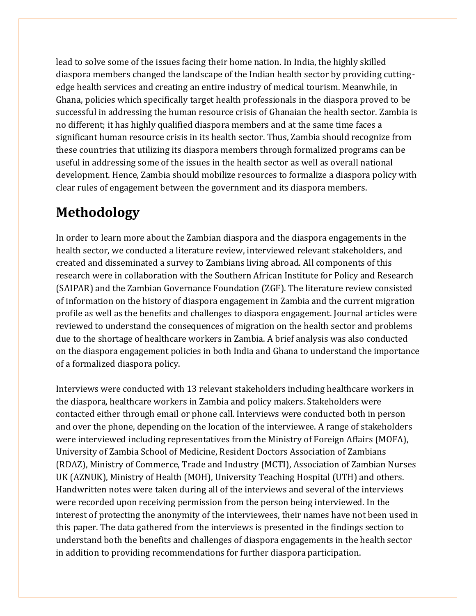lead to solve some of the issues facing their home nation. In India, the highly skilled diaspora members changed the landscape of the Indian health sector by providing cuttingedge health services and creating an entire industry of medical tourism. Meanwhile, in Ghana, policies which specifically target health professionals in the diaspora proved to be successful in addressing the human resource crisis of Ghanaian the health sector. Zambia is no different; it has highly qualified diaspora members and at the same time faces a significant human resource crisis in its health sector. Thus, Zambia should recognize from these countries that utilizing its diaspora members through formalized programs can be useful in addressing some of the issues in the health sector as well as overall national development. Hence, Zambia should mobilize resources to formalize a diaspora policy with clear rules of engagement between the government and its diaspora members.

# **Methodology**

In order to learn more about the Zambian diaspora and the diaspora engagements in the health sector, we conducted a literature review, interviewed relevant stakeholders, and created and disseminated a survey to Zambians living abroad. All components of this research were in collaboration with the Southern African Institute for Policy and Research (SAIPAR) and the Zambian Governance Foundation (ZGF). The literature review consisted of information on the history of diaspora engagement in Zambia and the current migration profile as well as the benefits and challenges to diaspora engagement. Journal articles were reviewed to understand the consequences of migration on the health sector and problems due to the shortage of healthcare workers in Zambia. A brief analysis was also conducted on the diaspora engagement policies in both India and Ghana to understand the importance of a formalized diaspora policy.

Interviews were conducted with 13 relevant stakeholders including healthcare workers in the diaspora, healthcare workers in Zambia and policy makers. Stakeholders were contacted either through email or phone call. Interviews were conducted both in person and over the phone, depending on the location of the interviewee. A range of stakeholders were interviewed including representatives from the Ministry of Foreign Affairs (MOFA), University of Zambia School of Medicine, Resident Doctors Association of Zambians (RDAZ), Ministry of Commerce, Trade and Industry (MCTI), Association of Zambian Nurses UK (AZNUK), Ministry of Health (MOH), University Teaching Hospital (UTH) and others. Handwritten notes were taken during all of the interviews and several of the interviews were recorded upon receiving permission from the person being interviewed. In the interest of protecting the anonymity of the interviewees, their names have not been used in this paper. The data gathered from the interviews is presented in the findings section to understand both the benefits and challenges of diaspora engagements in the health sector in addition to providing recommendations for further diaspora participation.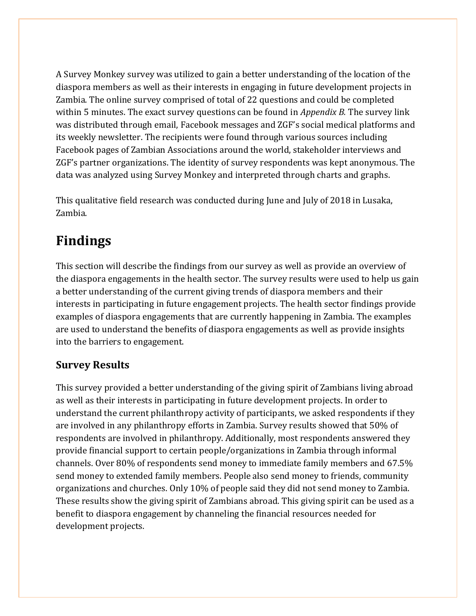A Survey Monkey survey was utilized to gain a better understanding of the location of the diaspora members as well as their interests in engaging in future development projects in Zambia. The online survey comprised of total of 22 questions and could be completed within 5 minutes. The exact survey questions can be found in *Appendix B.* The survey link was distributed through email, Facebook messages and ZGF's social medical platforms and its weekly newsletter. The recipients were found through various sources including Facebook pages of Zambian Associations around the world, stakeholder interviews and ZGF's partner organizations. The identity of survey respondents was kept anonymous. The data was analyzed using Survey Monkey and interpreted through charts and graphs.

This qualitative field research was conducted during June and July of 2018 in Lusaka, Zambia.

# **Findings**

This section will describe the findings from our survey as well as provide an overview of the diaspora engagements in the health sector. The survey results were used to help us gain a better understanding of the current giving trends of diaspora members and their interests in participating in future engagement projects. The health sector findings provide examples of diaspora engagements that are currently happening in Zambia. The examples are used to understand the benefits of diaspora engagements as well as provide insights into the barriers to engagement.

# **Survey Results**

This survey provided a better understanding of the giving spirit of Zambians living abroad as well as their interests in participating in future development projects. In order to understand the current philanthropy activity of participants, we asked respondents if they are involved in any philanthropy efforts in Zambia. Survey results showed that 50% of respondents are involved in philanthropy. Additionally, most respondents answered they provide financial support to certain people/organizations in Zambia through informal channels. Over 80% of respondents send money to immediate family members and 67.5% send money to extended family members. People also send money to friends, community organizations and churches. Only 10% of people said they did not send money to Zambia. These results show the giving spirit of Zambians abroad. This giving spirit can be used as a benefit to diaspora engagement by channeling the financial resources needed for development projects.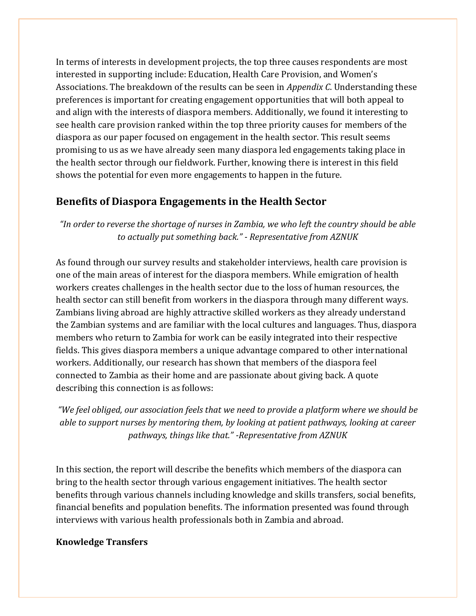In terms of interests in development projects, the top three causes respondents are most interested in supporting include: Education, Health Care Provision, and Women's Associations. The breakdown of the results can be seen in *Appendix C*. Understanding these preferences is important for creating engagement opportunities that will both appeal to and align with the interests of diaspora members. Additionally, we found it interesting to see health care provision ranked within the top three priority causes for members of the diaspora as our paper focused on engagement in the health sector. This result seems promising to us as we have already seen many diaspora led engagements taking place in the health sector through our fieldwork. Further, knowing there is interest in this field shows the potential for even more engagements to happen in the future.

## **Benefits of Diaspora Engagements in the Health Sector**

*"In order to reverse the shortage of nurses in Zambia, we who left the country should be able to actually put something back." - Representative from AZNUK*

As found through our survey results and stakeholder interviews, health care provision is one of the main areas of interest for the diaspora members. While emigration of health workers creates challenges in the health sector due to the loss of human resources, the health sector can still benefit from workers in the diaspora through many different ways. Zambians living abroad are highly attractive skilled workers as they already understand the Zambian systems and are familiar with the local cultures and languages. Thus, diaspora members who return to Zambia for work can be easily integrated into their respective fields. This gives diaspora members a unique advantage compared to other international workers. Additionally, our research has shown that members of the diaspora feel connected to Zambia as their home and are passionate about giving back. A quote describing this connection is as follows:

*"We feel obliged, our association feels that we need to provide a platform where we should be able to support nurses by mentoring them, by looking at patient pathways, looking at career pathways, things like that." -Representative from AZNUK*

In this section, the report will describe the benefits which members of the diaspora can bring to the health sector through various engagement initiatives. The health sector benefits through various channels including knowledge and skills transfers, social benefits, financial benefits and population benefits. The information presented was found through interviews with various health professionals both in Zambia and abroad.

#### **Knowledge Transfers**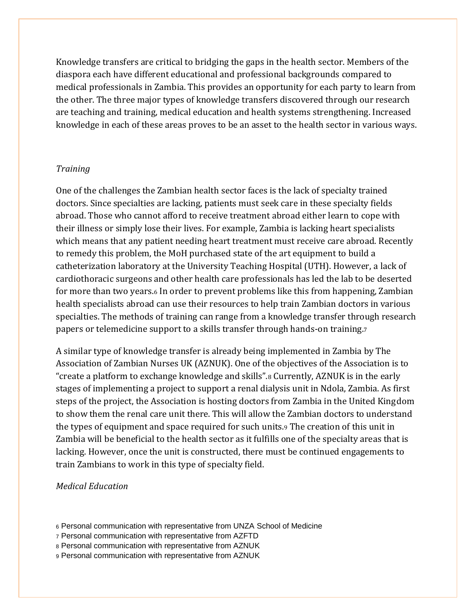Knowledge transfers are critical to bridging the gaps in the health sector. Members of the diaspora each have different educational and professional backgrounds compared to medical professionals in Zambia. This provides an opportunity for each party to learn from the other. The three major types of knowledge transfers discovered through our research are teaching and training, medical education and health systems strengthening. Increased knowledge in each of these areas proves to be an asset to the health sector in various ways.

#### *Training*

One of the challenges the Zambian health sector faces is the lack of specialty trained doctors. Since specialties are lacking, patients must seek care in these specialty fields abroad. Those who cannot afford to receive treatment abroad either learn to cope with their illness or simply lose their lives. For example, Zambia is lacking heart specialists which means that any patient needing heart treatment must receive care abroad. Recently to remedy this problem, the MoH purchased state of the art equipment to build a catheterization laboratory at the University Teaching Hospital (UTH). However, a lack of cardiothoracic surgeons and other health care professionals has led the lab to be deserted for more than two years.<sup>6</sup> In order to prevent problems like this from happening, Zambian health specialists abroad can use their resources to help train Zambian doctors in various specialties. The methods of training can range from a knowledge transfer through research papers or telemedicine support to a skills transfer through hands-on training.<sup>7</sup>

A similar type of knowledge transfer is already being implemented in Zambia by The Association of Zambian Nurses UK (AZNUK). One of the objectives of the Association is to "create a platform to exchange knowledge and skills".<sup>8</sup> Currently, AZNUK is in the early stages of implementing a project to support a renal dialysis unit in Ndola, Zambia. As first steps of the project, the Association is hosting doctors from Zambia in the United Kingdom to show them the renal care unit there. This will allow the Zambian doctors to understand the types of equipment and space required for such units.<sup>9</sup> The creation of this unit in Zambia will be beneficial to the health sector as it fulfills one of the specialty areas that is lacking. However, once the unit is constructed, there must be continued engagements to train Zambians to work in this type of specialty field.

#### *Medical Education*

- <sup>6</sup> Personal communication with representative from UNZA School of Medicine
- <sup>7</sup> Personal communication with representative from AZFTD
- <sup>8</sup> Personal communication with representative from AZNUK
- <sup>9</sup> Personal communication with representative from AZNUK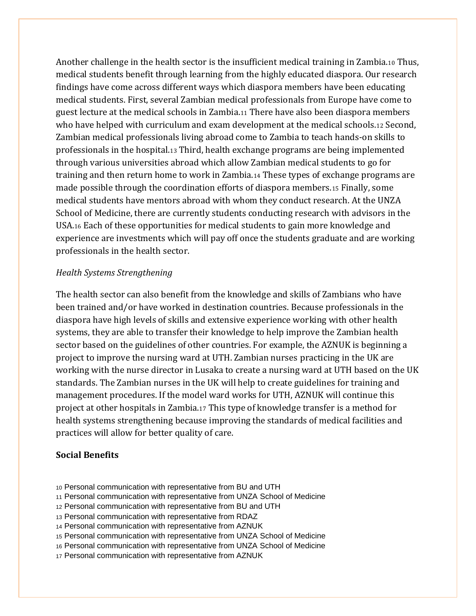Another challenge in the health sector is the insufficient medical training in Zambia.<sup>10</sup> Thus, medical students benefit through learning from the highly educated diaspora. Our research findings have come across different ways which diaspora members have been educating medical students. First, several Zambian medical professionals from Europe have come to guest lecture at the medical schools in Zambia.<sup>11</sup> There have also been diaspora members who have helped with curriculum and exam development at the medical schools.<sup>12</sup> Second, Zambian medical professionals living abroad come to Zambia to teach hands-on skills to professionals in the hospital.<sup>13</sup> Third, health exchange programs are being implemented through various universities abroad which allow Zambian medical students to go for training and then return home to work in Zambia.<sup>14</sup> These types of exchange programs are made possible through the coordination efforts of diaspora members.<sup>15</sup> Finally, some medical students have mentors abroad with whom they conduct research. At the UNZA School of Medicine, there are currently students conducting research with advisors in the USA.<sup>16</sup> Each of these opportunities for medical students to gain more knowledge and experience are investments which will pay off once the students graduate and are working professionals in the health sector.

#### *Health Systems Strengthening*

The health sector can also benefit from the knowledge and skills of Zambians who have been trained and/or have worked in destination countries. Because professionals in the diaspora have high levels of skills and extensive experience working with other health systems, they are able to transfer their knowledge to help improve the Zambian health sector based on the guidelines of other countries. For example, the AZNUK is beginning a project to improve the nursing ward at UTH. Zambian nurses practicing in the UK are working with the nurse director in Lusaka to create a nursing ward at UTH based on the UK standards. The Zambian nurses in the UK will help to create guidelines for training and management procedures. If the model ward works for UTH, AZNUK will continue this project at other hospitals in Zambia.<sup>17</sup> This type of knowledge transfer is a method for health systems strengthening because improving the standards of medical facilities and practices will allow for better quality of care.

#### **Social Benefits**

- <sup>10</sup> Personal communication with representative from BU and UTH
- <sup>11</sup> Personal communication with representative from UNZA School of Medicine
- <sup>12</sup> Personal communication with representative from BU and UTH
- <sup>13</sup> Personal communication with representative from RDAZ
- <sup>14</sup> Personal communication with representative from AZNUK
- <sup>15</sup> Personal communication with representative from UNZA School of Medicine
- <sup>16</sup> Personal communication with representative from UNZA School of Medicine
- <sup>17</sup> Personal communication with representative from AZNUK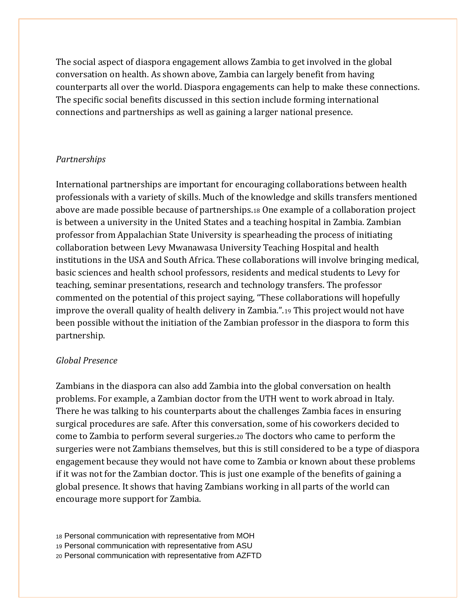The social aspect of diaspora engagement allows Zambia to get involved in the global conversation on health. As shown above, Zambia can largely benefit from having counterparts all over the world. Diaspora engagements can help to make these connections. The specific social benefits discussed in this section include forming international connections and partnerships as well as gaining a larger national presence.

#### *Partnerships*

International partnerships are important for encouraging collaborations between health professionals with a variety of skills. Much of the knowledge and skills transfers mentioned above are made possible because of partnerships.<sup>18</sup> One example of a collaboration project is between a university in the United States and a teaching hospital in Zambia. Zambian professor from Appalachian State University is spearheading the process of initiating collaboration between Levy Mwanawasa University Teaching Hospital and health institutions in the USA and South Africa. These collaborations will involve bringing medical, basic sciences and health school professors, residents and medical students to Levy for teaching, seminar presentations, research and technology transfers. The professor commented on the potential of this project saying, "These collaborations will hopefully improve the overall quality of health delivery in Zambia.".<sup>19</sup> This project would not have been possible without the initiation of the Zambian professor in the diaspora to form this partnership.

#### *Global Presence*

Zambians in the diaspora can also add Zambia into the global conversation on health problems. For example, a Zambian doctor from the UTH went to work abroad in Italy. There he was talking to his counterparts about the challenges Zambia faces in ensuring surgical procedures are safe. After this conversation, some of his coworkers decided to come to Zambia to perform several surgeries.<sup>20</sup> The doctors who came to perform the surgeries were not Zambians themselves, but this is still considered to be a type of diaspora engagement because they would not have come to Zambia or known about these problems if it was not for the Zambian doctor. This is just one example of the benefits of gaining a global presence. It shows that having Zambians working in all parts of the world can encourage more support for Zambia.

<sup>18</sup> Personal communication with representative from MOH

<sup>19</sup> Personal communication with representative from ASU

<sup>20</sup> Personal communication with representative from AZFTD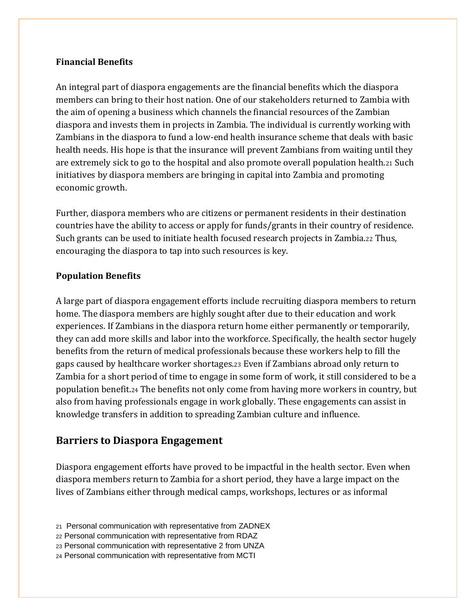#### **Financial Benefits**

An integral part of diaspora engagements are the financial benefits which the diaspora members can bring to their host nation. One of our stakeholders returned to Zambia with the aim of opening a business which channels the financial resources of the Zambian diaspora and invests them in projects in Zambia. The individual is currently working with Zambians in the diaspora to fund a low-end health insurance scheme that deals with basic health needs. His hope is that the insurance will prevent Zambians from waiting until they are extremely sick to go to the hospital and also promote overall population health.<sup>21</sup> Such initiatives by diaspora members are bringing in capital into Zambia and promoting economic growth.

Further, diaspora members who are citizens or permanent residents in their destination countries have the ability to access or apply for funds/grants in their country of residence. Such grants can be used to initiate health focused research projects in Zambia.<sup>22</sup> Thus, encouraging the diaspora to tap into such resources is key.

#### **Population Benefits**

A large part of diaspora engagement efforts include recruiting diaspora members to return home. The diaspora members are highly sought after due to their education and work experiences. If Zambians in the diaspora return home either permanently or temporarily, they can add more skills and labor into the workforce. Specifically, the health sector hugely benefits from the return of medical professionals because these workers help to fill the gaps caused by healthcare worker shortages.<sup>23</sup> Even if Zambians abroad only return to Zambia for a short period of time to engage in some form of work, it still considered to be a population benefit.<sup>24</sup> The benefits not only come from having more workers in country, but also from having professionals engage in work globally. These engagements can assist in knowledge transfers in addition to spreading Zambian culture and influence.

## **Barriers to Diaspora Engagement**

Diaspora engagement efforts have proved to be impactful in the health sector. Even when diaspora members return to Zambia for a short period, they have a large impact on the lives of Zambians either through medical camps, workshops, lectures or as informal

- <sup>21</sup> Personal communication with representative from ZADNEX
- <sup>22</sup> Personal communication with representative from RDAZ
- <sup>23</sup> Personal communication with representative 2 from UNZA
- <sup>24</sup> Personal communication with representative from MCTI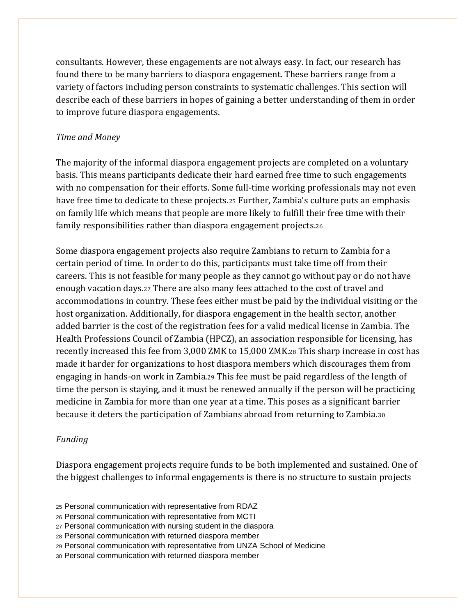consultants. However, these engagements are not always easy. In fact, our research has found there to be many barriers to diaspora engagement. These barriers range from a variety of factors including person constraints to systematic challenges. This section will describe each of these barriers in hopes of gaining a better understanding of them in order to improve future diaspora engagements.

#### *Time and Money*

The majority of the informal diaspora engagement projects are completed on a voluntary basis. This means participants dedicate their hard earned free time to such engagements with no compensation for their efforts. Some full-time working professionals may not even have free time to dedicate to these projects.<sup>25</sup> Further, Zambia's culture puts an emphasis on family life which means that people are more likely to fulfill their free time with their family responsibilities rather than diaspora engagement projects.<sup>26</sup>

Some diaspora engagement projects also require Zambians to return to Zambia for a certain period of time. In order to do this, participants must take time off from their careers. This is not feasible for many people as they cannot go without pay or do not have enough vacation days.<sup>27</sup> There are also many fees attached to the cost of travel and accommodations in country. These fees either must be paid by the individual visiting or the host organization. Additionally, for diaspora engagement in the health sector, another added barrier is the cost of the registration fees for a valid medical license in Zambia. The Health Professions Council of Zambia (HPCZ), an association responsible for licensing, has recently increased this fee from 3,000 ZMK to 15,000 ZMK.<sup>28</sup> This sharp increase in cost has made it harder for organizations to host diaspora members which discourages them from engaging in hands-on work in Zambia.<sup>29</sup> This fee must be paid regardless of the length of time the person is staying, and it must be renewed annually if the person will be practicing medicine in Zambia for more than one year at a time. This poses as a significant barrier because it deters the participation of Zambians abroad from returning to Zambia.<sup>30</sup>

#### *Funding*

Diaspora engagement projects require funds to be both implemented and sustained. One of the biggest challenges to informal engagements is there is no structure to sustain projects

- <sup>25</sup> Personal communication with representative from RDAZ
- <sup>26</sup> Personal communication with representative from MCTI
- <sup>27</sup> Personal communication with nursing student in the diaspora
- <sup>28</sup> Personal communication with returned diaspora member
- <sup>29</sup> Personal communication with representative from UNZA School of Medicine
- <sup>30</sup> Personal communication with returned diaspora member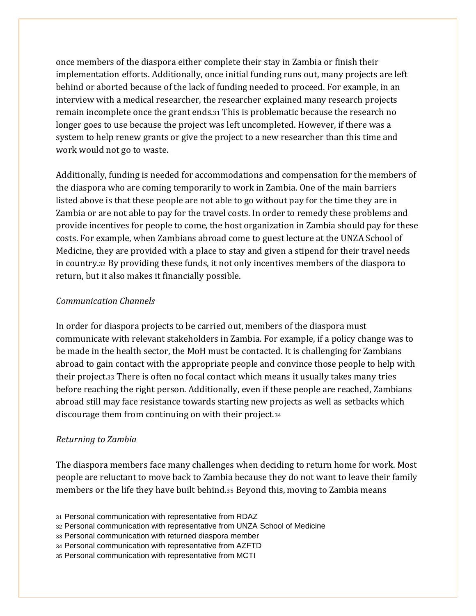once members of the diaspora either complete their stay in Zambia or finish their implementation efforts. Additionally, once initial funding runs out, many projects are left behind or aborted because of the lack of funding needed to proceed. For example, in an interview with a medical researcher, the researcher explained many research projects remain incomplete once the grant ends.<sup>31</sup> This is problematic because the research no longer goes to use because the project was left uncompleted. However, if there was a system to help renew grants or give the project to a new researcher than this time and work would not go to waste.

Additionally, funding is needed for accommodations and compensation for the members of the diaspora who are coming temporarily to work in Zambia. One of the main barriers listed above is that these people are not able to go without pay for the time they are in Zambia or are not able to pay for the travel costs. In order to remedy these problems and provide incentives for people to come, the host organization in Zambia should pay for these costs. For example, when Zambians abroad come to guest lecture at the UNZA School of Medicine, they are provided with a place to stay and given a stipend for their travel needs in country.<sup>32</sup> By providing these funds, it not only incentives members of the diaspora to return, but it also makes it financially possible.

#### *Communication Channels*

In order for diaspora projects to be carried out, members of the diaspora must communicate with relevant stakeholders in Zambia. For example, if a policy change was to be made in the health sector, the MoH must be contacted. It is challenging for Zambians abroad to gain contact with the appropriate people and convince those people to help with their project.<sup>33</sup> There is often no focal contact which means it usually takes many tries before reaching the right person. Additionally, even if these people are reached, Zambians abroad still may face resistance towards starting new projects as well as setbacks which discourage them from continuing on with their project.<sup>34</sup>

#### *Returning to Zambia*

The diaspora members face many challenges when deciding to return home for work. Most people are reluctant to move back to Zambia because they do not want to leave their family members or the life they have built behind.<sup>35</sup> Beyond this, moving to Zambia means

<sup>35</sup> Personal communication with representative from MCTI

<sup>31</sup> Personal communication with representative from RDAZ

<sup>32</sup> Personal communication with representative from UNZA School of Medicine

<sup>33</sup> Personal communication with returned diaspora member

<sup>34</sup> Personal communication with representative from AZFTD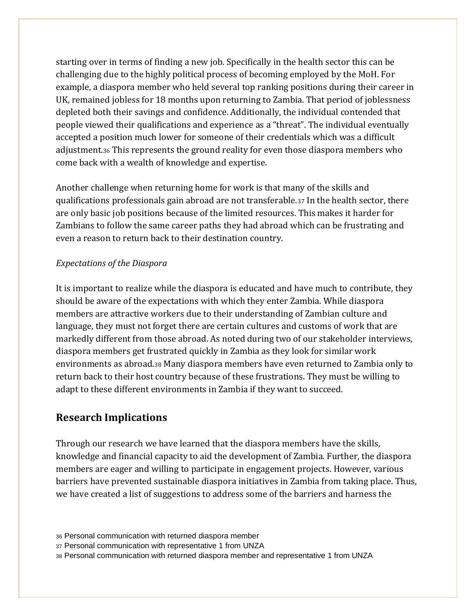starting over in terms of finding a new job. Specifically in the health sector this can be challenging due to the highly political process of becoming employed by the MoH. For example, a diaspora member who held several top ranking positions during their career in UK, remained jobless for 18 months upon returning to Zambia. That period of joblessness depleted both their savings and confidence. Additionally, the individual contended that people viewed their qualifications and experience as a "threat". The individual eventually accepted a position much lower for someone of their credentials which was a difficult adjustment.<sup>36</sup> This represents the ground reality for even those diaspora members who come back with a wealth of knowledge and expertise.

Another challenge when returning home for work is that many of the skills and qualifications professionals gain abroad are not transferable.<sup>37</sup> In the health sector, there are only basic job positions because of the limited resources. This makes it harder for Zambians to follow the same career paths they had abroad which can be frustrating and even a reason to return back to their destination country.

#### *Expectations of the Diaspora*

It is important to realize while the diaspora is educated and have much to contribute, they should be aware of the expectations with which they enter Zambia. While diaspora members are attractive workers due to their understanding of Zambian culture and language, they must not forget there are certain cultures and customs of work that are markedly different from those abroad. As noted during two of our stakeholder interviews, diaspora members get frustrated quickly in Zambia as they look for similar work environments as abroad.<sup>38</sup> Many diaspora members have even returned to Zambia only to return back to their host country because of these frustrations. They must be willing to adapt to these different environments in Zambia if they want to succeed.

## **Research Implications**

Through our research we have learned that the diaspora members have the skills, knowledge and financial capacity to aid the development of Zambia. Further, the diaspora members are eager and willing to participate in engagement projects. However, various barriers have prevented sustainable diaspora initiatives in Zambia from taking place. Thus, we have created a list of suggestions to address some of the barriers and harness the

<sup>37</sup> Personal communication with representative 1 from UNZA

<sup>36</sup> Personal communication with returned diaspora member

<sup>38</sup> Personal communication with returned diaspora member and representative 1 from UNZA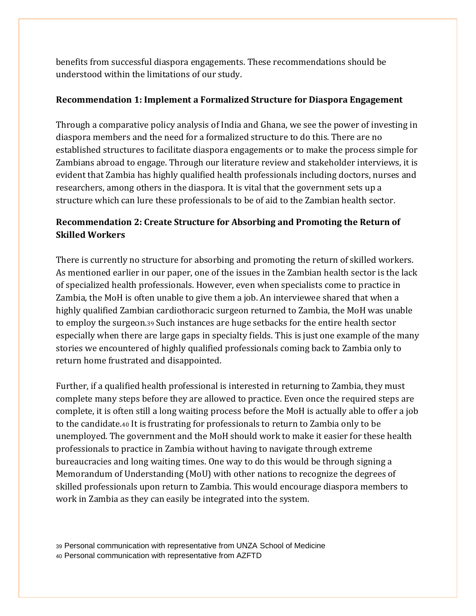benefits from successful diaspora engagements. These recommendations should be understood within the limitations of our study.

#### **Recommendation 1: Implement a Formalized Structure for Diaspora Engagement**

Through a comparative policy analysis of India and Ghana, we see the power of investing in diaspora members and the need for a formalized structure to do this. There are no established structures to facilitate diaspora engagements or to make the process simple for Zambians abroad to engage. Through our literature review and stakeholder interviews, it is evident that Zambia has highly qualified health professionals including doctors, nurses and researchers, among others in the diaspora. It is vital that the government sets up a structure which can lure these professionals to be of aid to the Zambian health sector.

## **Recommendation 2: Create Structure for Absorbing and Promoting the Return of Skilled Workers**

There is currently no structure for absorbing and promoting the return of skilled workers. As mentioned earlier in our paper, one of the issues in the Zambian health sector is the lack of specialized health professionals. However, even when specialists come to practice in Zambia, the MoH is often unable to give them a job. An interviewee shared that when a highly qualified Zambian cardiothoracic surgeon returned to Zambia, the MoH was unable to employ the surgeon.<sup>39</sup> Such instances are huge setbacks for the entire health sector especially when there are large gaps in specialty fields. This is just one example of the many stories we encountered of highly qualified professionals coming back to Zambia only to return home frustrated and disappointed.

Further, if a qualified health professional is interested in returning to Zambia, they must complete many steps before they are allowed to practice. Even once the required steps are complete, it is often still a long waiting process before the MoH is actually able to offer a job to the candidate.<sup>40</sup> It is frustrating for professionals to return to Zambia only to be unemployed. The government and the MoH should work to make it easier for these health professionals to practice in Zambia without having to navigate through extreme bureaucracies and long waiting times. One way to do this would be through signing a Memorandum of Understanding (MoU) with other nations to recognize the degrees of skilled professionals upon return to Zambia. This would encourage diaspora members to work in Zambia as they can easily be integrated into the system.

<sup>39</sup> Personal communication with representative from UNZA School of Medicine <sup>40</sup> Personal communication with representative from AZFTD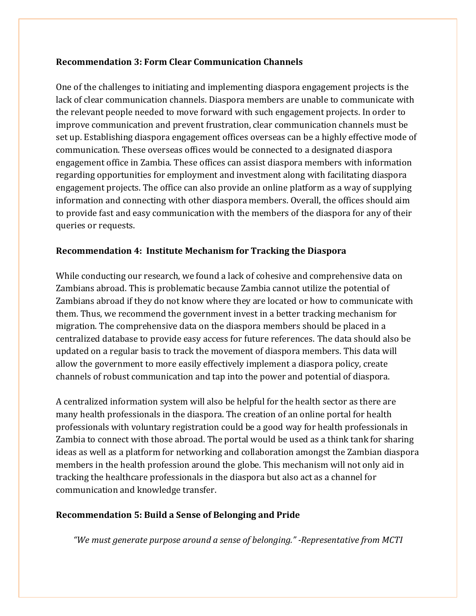#### **Recommendation 3: Form Clear Communication Channels**

One of the challenges to initiating and implementing diaspora engagement projects is the lack of clear communication channels. Diaspora members are unable to communicate with the relevant people needed to move forward with such engagement projects. In order to improve communication and prevent frustration, clear communication channels must be set up. Establishing diaspora engagement offices overseas can be a highly effective mode of communication. These overseas offices would be connected to a designated diaspora engagement office in Zambia. These offices can assist diaspora members with information regarding opportunities for employment and investment along with facilitating diaspora engagement projects. The office can also provide an online platform as a way of supplying information and connecting with other diaspora members. Overall, the offices should aim to provide fast and easy communication with the members of the diaspora for any of their queries or requests.

#### **Recommendation 4: Institute Mechanism for Tracking the Diaspora**

While conducting our research, we found a lack of cohesive and comprehensive data on Zambians abroad. This is problematic because Zambia cannot utilize the potential of Zambians abroad if they do not know where they are located or how to communicate with them. Thus, we recommend the government invest in a better tracking mechanism for migration. The comprehensive data on the diaspora members should be placed in a centralized database to provide easy access for future references. The data should also be updated on a regular basis to track the movement of diaspora members. This data will allow the government to more easily effectively implement a diaspora policy, create channels of robust communication and tap into the power and potential of diaspora.

A centralized information system will also be helpful for the health sector as there are many health professionals in the diaspora. The creation of an online portal for health professionals with voluntary registration could be a good way for health professionals in Zambia to connect with those abroad. The portal would be used as a think tank for sharing ideas as well as a platform for networking and collaboration amongst the Zambian diaspora members in the health profession around the globe. This mechanism will not only aid in tracking the healthcare professionals in the diaspora but also act as a channel for communication and knowledge transfer.

#### **Recommendation 5: Build a Sense of Belonging and Pride**

*"We must generate purpose around a sense of belonging." -Representative from MCTI*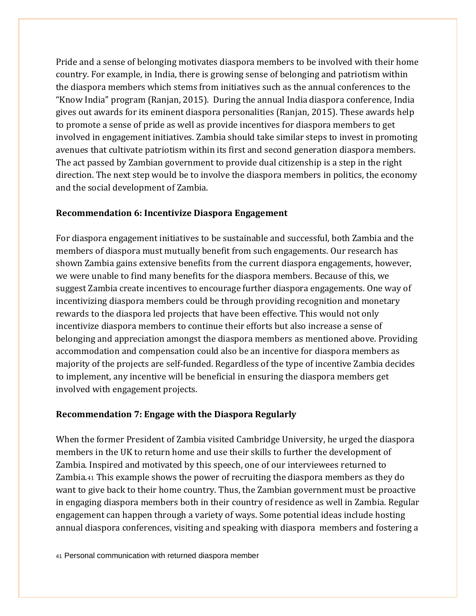Pride and a sense of belonging motivates diaspora members to be involved with their home country. For example, in India, there is growing sense of belonging and patriotism within the diaspora members which stems from initiatives such as the annual conferences to the "Know India" program (Ranjan, 2015). During the annual India diaspora conference, India gives out awards for its eminent diaspora personalities (Ranjan, 2015). These awards help to promote a sense of pride as well as provide incentives for diaspora members to get involved in engagement initiatives. Zambia should take similar steps to invest in promoting avenues that cultivate patriotism within its first and second generation diaspora members. The act passed by Zambian government to provide dual citizenship is a step in the right direction. The next step would be to involve the diaspora members in politics, the economy and the social development of Zambia.

#### **Recommendation 6: Incentivize Diaspora Engagement**

For diaspora engagement initiatives to be sustainable and successful, both Zambia and the members of diaspora must mutually benefit from such engagements. Our research has shown Zambia gains extensive benefits from the current diaspora engagements, however, we were unable to find many benefits for the diaspora members. Because of this, we suggest Zambia create incentives to encourage further diaspora engagements. One way of incentivizing diaspora members could be through providing recognition and monetary rewards to the diaspora led projects that have been effective. This would not only incentivize diaspora members to continue their efforts but also increase a sense of belonging and appreciation amongst the diaspora members as mentioned above. Providing accommodation and compensation could also be an incentive for diaspora members as majority of the projects are self-funded. Regardless of the type of incentive Zambia decides to implement, any incentive will be beneficial in ensuring the diaspora members get involved with engagement projects.

#### **Recommendation 7: Engage with the Diaspora Regularly**

When the former President of Zambia visited Cambridge University, he urged the diaspora members in the UK to return home and use their skills to further the development of Zambia. Inspired and motivated by this speech, one of our interviewees returned to Zambia.<sup>41</sup> This example shows the power of recruiting the diaspora members as they do want to give back to their home country. Thus, the Zambian government must be proactive in engaging diaspora members both in their country of residence as well in Zambia. Regular engagement can happen through a variety of ways. Some potential ideas include hosting annual diaspora conferences, visiting and speaking with diaspora members and fostering a

<sup>41</sup> Personal communication with returned diaspora member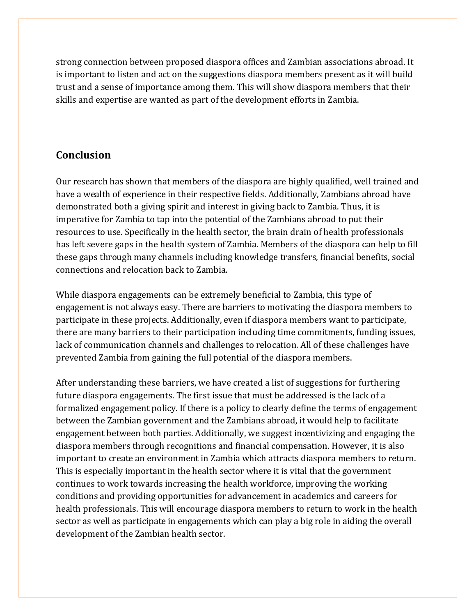strong connection between proposed diaspora offices and Zambian associations abroad. It is important to listen and act on the suggestions diaspora members present as it will build trust and a sense of importance among them. This will show diaspora members that their skills and expertise are wanted as part of the development efforts in Zambia.

# **Conclusion**

Our research has shown that members of the diaspora are highly qualified, well trained and have a wealth of experience in their respective fields. Additionally, Zambians abroad have demonstrated both a giving spirit and interest in giving back to Zambia. Thus, it is imperative for Zambia to tap into the potential of the Zambians abroad to put their resources to use. Specifically in the health sector, the brain drain of health professionals has left severe gaps in the health system of Zambia. Members of the diaspora can help to fill these gaps through many channels including knowledge transfers, financial benefits, social connections and relocation back to Zambia.

While diaspora engagements can be extremely beneficial to Zambia, this type of engagement is not always easy. There are barriers to motivating the diaspora members to participate in these projects. Additionally, even if diaspora members want to participate, there are many barriers to their participation including time commitments, funding issues, lack of communication channels and challenges to relocation. All of these challenges have prevented Zambia from gaining the full potential of the diaspora members.

After understanding these barriers, we have created a list of suggestions for furthering future diaspora engagements. The first issue that must be addressed is the lack of a formalized engagement policy. If there is a policy to clearly define the terms of engagement between the Zambian government and the Zambians abroad, it would help to facilitate engagement between both parties. Additionally, we suggest incentivizing and engaging the diaspora members through recognitions and financial compensation. However, it is also important to create an environment in Zambia which attracts diaspora members to return. This is especially important in the health sector where it is vital that the government continues to work towards increasing the health workforce, improving the working conditions and providing opportunities for advancement in academics and careers for health professionals. This will encourage diaspora members to return to work in the health sector as well as participate in engagements which can play a big role in aiding the overall development of the Zambian health sector.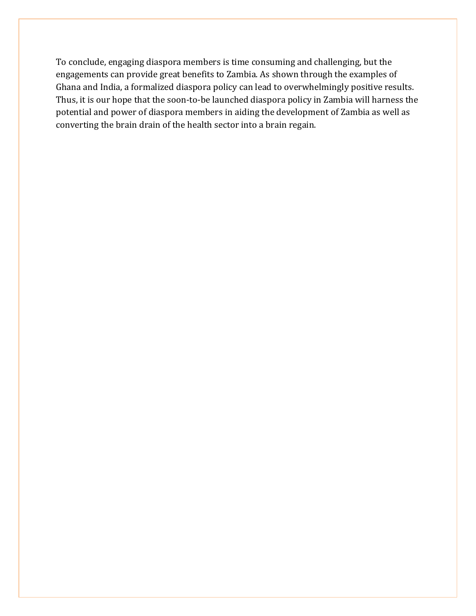To conclude, engaging diaspora members is time consuming and challenging, but the engagements can provide great benefits to Zambia. As shown through the examples of Ghana and India, a formalized diaspora policy can lead to overwhelmingly positive results. Thus, it is our hope that the soon-to-be launched diaspora policy in Zambia will harness the potential and power of diaspora members in aiding the development of Zambia as well as converting the brain drain of the health sector into a brain regain.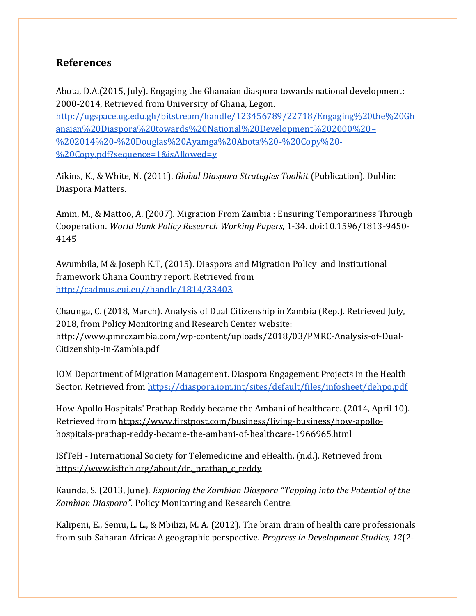## **References**

Abota, D.A.(2015, July). Engaging the Ghanaian diaspora towards national development: 2000-2014, Retrieved from University of Ghana, Legon.

[http://ugspace.ug.edu.gh/bitstream/handle/123456789/22718/Engaging%20the%20Gh](http://ugspace.ug.edu.gh/bitstream/handle/123456789/22718/Engaging%20the%20Ghanaian%20Diaspora%20towards%20National%20Development%202000%20%E2%80%93%202014%20-%20Douglas%20Ayamga%20Abota%20-%20Copy%20-%20Copy.pdf?sequence=1&isAllowed=y) [anaian%20Diaspora%20towards%20National%20Development%202000%20](http://ugspace.ug.edu.gh/bitstream/handle/123456789/22718/Engaging%20the%20Ghanaian%20Diaspora%20towards%20National%20Development%202000%20%E2%80%93%202014%20-%20Douglas%20Ayamga%20Abota%20-%20Copy%20-%20Copy.pdf?sequence=1&isAllowed=y)– [%202014%20-%20Douglas%20Ayamga%20Abota%20-%20Copy%20-](http://ugspace.ug.edu.gh/bitstream/handle/123456789/22718/Engaging%20the%20Ghanaian%20Diaspora%20towards%20National%20Development%202000%20%E2%80%93%202014%20-%20Douglas%20Ayamga%20Abota%20-%20Copy%20-%20Copy.pdf?sequence=1&isAllowed=y) [%20Copy.pdf?sequence=1&isAllowed=y](http://ugspace.ug.edu.gh/bitstream/handle/123456789/22718/Engaging%20the%20Ghanaian%20Diaspora%20towards%20National%20Development%202000%20%E2%80%93%202014%20-%20Douglas%20Ayamga%20Abota%20-%20Copy%20-%20Copy.pdf?sequence=1&isAllowed=y)

Aikins, K., & White, N. (2011). *Global Diaspora Strategies Toolkit* (Publication). Dublin: Diaspora Matters.

Amin, M., & Mattoo, A. (2007). Migration From Zambia : Ensuring Temporariness Through Cooperation. *World Bank Policy Research Working Papers,* 1-34. doi:10.1596/1813-9450- 4145

Awumbila, M & Joseph K.T, (2015). Diaspora and Migration Policy and Institutional framework Ghana Country report. Retrieved from [http://cadmus.eui.eu//handle/1814/33403](http://cadmus.eui.eu/handle/1814/33403)

Chaunga, C. (2018, March). Analysis of Dual Citizenship in Zambia (Rep.). Retrieved July, 2018, from Policy Monitoring and Research Center website: [http://www.pmrczambia.com/wp-content/uploads/2018/03/PMRC-Analysis-of-Dual-](http://www.pmrczambia.com/wp-content/uploads/2018/03/PMRC-Analysis-of-Dual-Citizenship-in-Zambia.pdf)[Citizenship-in-Zambia.pdf](http://www.pmrczambia.com/wp-content/uploads/2018/03/PMRC-Analysis-of-Dual-Citizenship-in-Zambia.pdf)

IOM Department of Migration Management. Diaspora Engagement Projects in the Health Sector. Retrieved from<https://diaspora.iom.int/sites/default/files/infosheet/dehpo.pdf>

How Apollo Hospitals' Prathap Reddy became the Ambani of healthcare. (2014, April 10). Retrieved from [https://www.firstpost.com/business/living-business/how-apollo](https://www.firstpost.com/business/living-business/how-apollo-hospitals-prathap-reddy-became-the-ambani-of-healthcare-1966965.html)[hospitals-prathap-reddy-became-the-ambani-of-healthcare-1966965.html](https://www.firstpost.com/business/living-business/how-apollo-hospitals-prathap-reddy-became-the-ambani-of-healthcare-1966965.html)

ISfTeH - International Society for Telemedicine and eHealth. (n.d.). Retrieved from [https://www.isfteh.org/about/dr.\\_prathap\\_c\\_reddy](https://www.isfteh.org/about/dr._prathap_c_reddy)

Kaunda, S. (2013, June). *Exploring the Zambian Diaspora "Tapping into the Potential of the Zambian Diaspora".* Policy Monitoring and Research Centre*.*

Kalipeni, E., Semu, L. L., & Mbilizi, M. A. (2012). The brain drain of health care professionals from sub-Saharan Africa: A geographic perspective. *Progress in Development Studies, 12*(2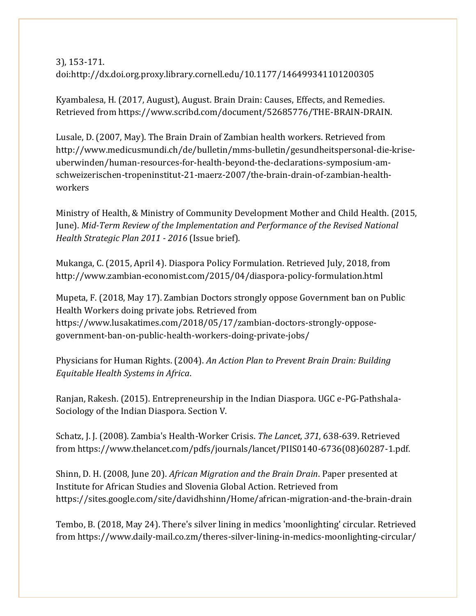3), 153-171. doi[:http://dx.doi.org.proxy.library.cornell.edu/10.1177/146499341101200305](http://dx.doi.org.proxy.library.cornell.edu/10.1177/146499341101200305)

Kyambalesa, H. (2017, August), August. Brain Drain: Causes, Effects, and Remedies. Retrieved from https://www.scribd.com/document/52685776/THE-BRAIN-DRAIN.

Lusale, D. (2007, May). The Brain Drain of Zambian health workers. Retrieved fro[m](http://www.medicusmundi.ch/de/bulletin/mms-bulletin/gesundheitspersonal-die-krise-uberwinden/human-resources-for-health-beyond-the-declarations-symposium-am-schweizerischen-tropeninstitut-21-maerz-2007/the-brain-drain-of-zambian-health-workers) [http://www.medicusmundi.ch/de/bulletin/mms-bulletin/gesundheitspersonal-die-krise](http://www.medicusmundi.ch/de/bulletin/mms-bulletin/gesundheitspersonal-die-krise-uberwinden/human-resources-for-health-beyond-the-declarations-symposium-am-schweizerischen-tropeninstitut-21-maerz-2007/the-brain-drain-of-zambian-health-workers)[uberwinden/human-resources-for-health-beyond-the-declarations-symposium-am](http://www.medicusmundi.ch/de/bulletin/mms-bulletin/gesundheitspersonal-die-krise-uberwinden/human-resources-for-health-beyond-the-declarations-symposium-am-schweizerischen-tropeninstitut-21-maerz-2007/the-brain-drain-of-zambian-health-workers)[schweizerischen-tropeninstitut-21-maerz-2007/the-brain-drain-of-zambian-health](http://www.medicusmundi.ch/de/bulletin/mms-bulletin/gesundheitspersonal-die-krise-uberwinden/human-resources-for-health-beyond-the-declarations-symposium-am-schweizerischen-tropeninstitut-21-maerz-2007/the-brain-drain-of-zambian-health-workers)[workers](http://www.medicusmundi.ch/de/bulletin/mms-bulletin/gesundheitspersonal-die-krise-uberwinden/human-resources-for-health-beyond-the-declarations-symposium-am-schweizerischen-tropeninstitut-21-maerz-2007/the-brain-drain-of-zambian-health-workers)

Ministry of Health, & Ministry of Community Development Mother and Child Health. (2015, June). *Mid-Term Review of the Implementation and Performance of the Revised National Health Strategic Plan 2011 - 2016* (Issue brief).

Mukanga, C. (2015, April 4). Diaspora Policy Formulation. Retrieved July, 2018, from http://www.zambian-economist.com/2015/04/diaspora-policy-formulation.html

Mupeta, F. (2018, May 17). Zambian Doctors strongly oppose Government ban on Public Health Workers doing private jobs. Retrieved from https://www.lusakatimes.com/2018/05/17/zambian-doctors-strongly-opposegovernment-ban-on-public-health-workers-doing-private-jobs/

Physicians for Human Rights. (2004). *An Action Plan to Prevent Brain Drain: Building Equitable Health Systems in Africa*.

Ranjan, Rakesh. (2015). Entrepreneurship in the Indian Diaspora. UGC e-PG-Pathshala-Sociology of the Indian Diaspora. Section V.

Schatz, J. J. (2008). Zambia's Health-Worker Crisis. *The Lancet, 371*, 638-639. Retrieved from [https://www.thelancet.com/pdfs/journals/lancet/PIIS0140-6736\(08\)60287-1.pdf.](https://www.thelancet.com/pdfs/journals/lancet/PIIS0140-6736(08)60287-1.pdf)

Shinn, D. H. (2008, June 20). *African Migration and the Brain Drain*. Paper presented at Institute for African Studies and Slovenia Global Action. Retrieved from https://sites.google.com/site/davidhshinn/Home/african-migration-and-the-brain-drain

Tembo, B. (2018, May 24). There's silver lining in medics 'moonlighting' circular. Retrieved fro[m https://www.daily-mail.co.zm/theres-silver-lining-in-medics-moonlighting-circular/](https://www.daily-mail.co.zm/theres-silver-lining-in-medics-moonlighting-circular/)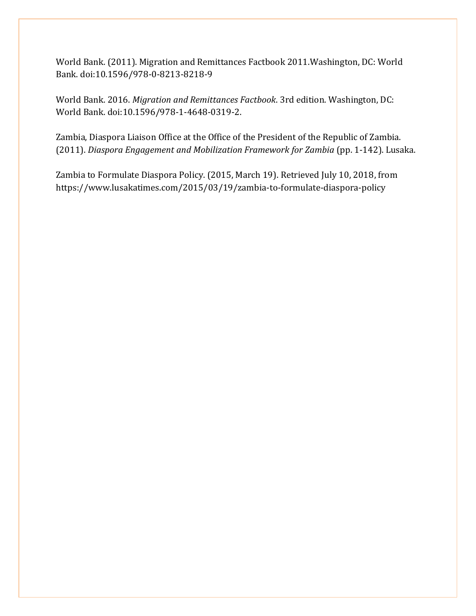World Bank. (2011). Migration and Remittances Factbook 2011.Washington, DC: World Bank. doi:10.1596/978-0-8213-8218-9

World Bank. 2016. *Migration and Remittances Factbook*. 3rd edition. Washington, DC: World Bank. doi:10.1596/978-1-4648-0319-2.

Zambia, Diaspora Liaison Office at the Office of the President of the Republic of Zambia. (2011). *Diaspora Engagement and Mobilization Framework for Zambia* (pp. 1-142). Lusaka.

Zambia to Formulate Diaspora Policy. (2015, March 19). Retrieved July 10, 2018, from https://www.lusakatimes.com/2015/03/19/zambia-to-formulate-diaspora-policy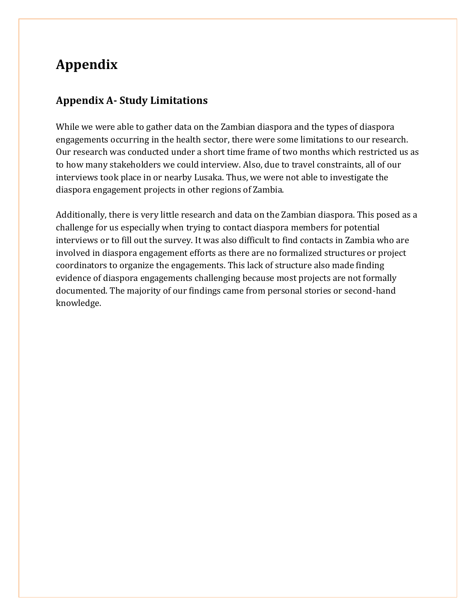# **Appendix**

## **Appendix A- Study Limitations**

While we were able to gather data on the Zambian diaspora and the types of diaspora engagements occurring in the health sector, there were some limitations to our research. Our research was conducted under a short time frame of two months which restricted us as to how many stakeholders we could interview. Also, due to travel constraints, all of our interviews took place in or nearby Lusaka. Thus, we were not able to investigate the diaspora engagement projects in other regions of Zambia.

Additionally, there is very little research and data on the Zambian diaspora. This posed as a challenge for us especially when trying to contact diaspora members for potential interviews or to fill out the survey. It was also difficult to find contacts in Zambia who are involved in diaspora engagement efforts as there are no formalized structures or project coordinators to organize the engagements. This lack of structure also made finding evidence of diaspora engagements challenging because most projects are not formally documented. The majority of our findings came from personal stories or second-hand knowledge.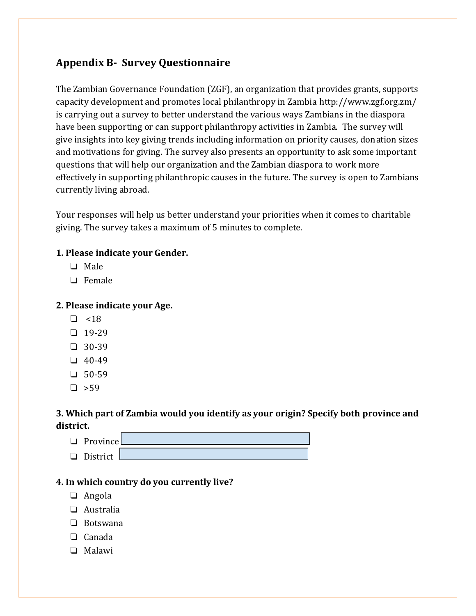# **Appendix B- Survey Questionnaire**

The Zambian Governance Foundation (ZGF), an organization that provides grants, supports capacity development and promotes local philanthropy in Zambia<http://www.zgf.org.zm/> is carrying out a survey to better understand the various ways Zambians in the diaspora have been supporting or can support philanthropy activities in Zambia. The survey will give insights into key giving trends including information on priority causes, donation sizes and motivations for giving. The survey also presents an opportunity to ask some important questions that will help our organization and the Zambian diaspora to work more effectively in supporting philanthropic causes in the future. The survey is open to Zambians currently living abroad.

Your responses will help us better understand your priorities when it comes to charitable giving. The survey takes a maximum of 5 minutes to complete.

### **1. Please indicate your Gender.**

- ❏ Male
- ❏ Female

#### **2. Please indicate your Age.**

- $\Box$  <18
- ❏ 19-29
- ❏ 30-39
- ❏ 40-49
- ❏ 50-59
- $\square$  >59

## **3. Which part of Zambia would you identify as your origin? Specify both province and district.**

❏ Province ❏ District

### **4. In which country do you currently live?**

- ❏ Angola
- ❏ Australia
- ❏ Botswana
- ❏ Canada
- ❏ Malawi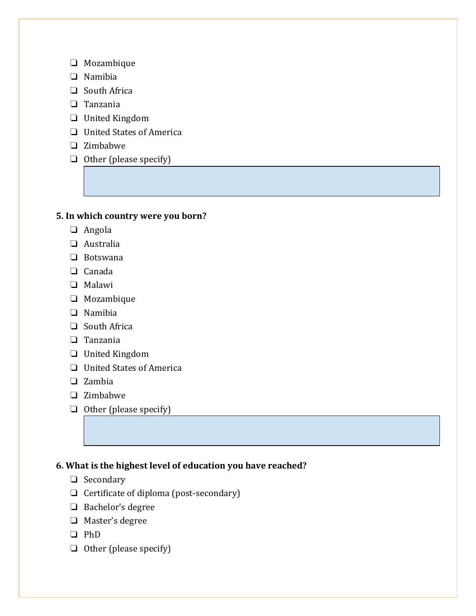- ❏ Mozambique
- ❏ Namibia
- ❏ South Africa
- ❏ Tanzania
- ❏ United Kingdom
- ❏ United States of America
- ❏ Zimbabwe
- ❏ Other (please specify)

### **5. In which country were you born?**

- ❏ Angola
- ❏ Australia
- ❏ Botswana
- ❏ Canada
- ❏ Malawi
- ❏ Mozambique
- ❏ Namibia
- ❏ South Africa
- ❏ Tanzania
- ❏ United Kingdom
- ❏ United States of America
- ❏ Zambia
- ❏ Zimbabwe
- ❏ Other (please specify)

### **6. What is the highest level of education you have reached?**

- ❏ Secondary
- ❏ Certificate of diploma (post-secondary)
- ❏ Bachelor's degree
- ❏ Master's degree
- ❏ PhD
- ❏ Other (please specify)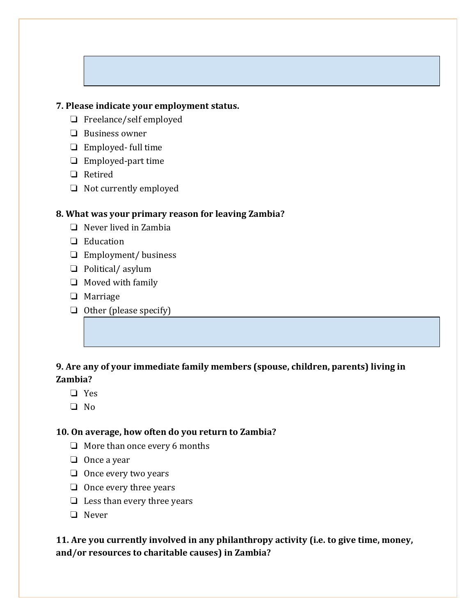#### **7. Please indicate your employment status.**

- ❏ Freelance/self employed
- ❏ Business owner
- ❏ Employed- full time
- ❏ Employed-part time
- ❏ Retired
- ❏ Not currently employed

#### **8. What was your primary reason for leaving Zambia?**

- ❏ Never lived in Zambia
- ❏ Education
- ❏ Employment/ business
- ❏ Political/ asylum
- ❏ Moved with family
- ❏ Marriage
- ❏ Other (please specify)

## **9. Are any of your immediate family members (spouse, children, parents) living in Zambia?**

- ❏ Yes
- ❏ No

#### **10. On average, how often do you return to Zambia?**

- ❏ More than once every 6 months
- ❏ Once a year
- ❏ Once every two years
- ❏ Once every three years
- ❏ Less than every three years
- ❏ Never

## **11. Are you currently involved in any philanthropy activity (i.e. to give time, money, and/or resources to charitable causes) in Zambia?**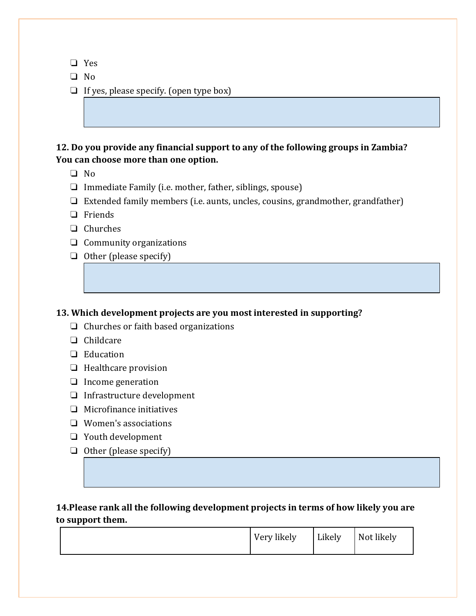- ❏ Yes
- ❏ No
- ❏ If yes, please specify. (open type box)

### **12. Do you provide any financial support to any of the following groups in Zambia? You can choose more than one option.**

- ❏ No
- ❏ Immediate Family (i.e. mother, father, siblings, spouse)
- ❏ Extended family members (i.e. aunts, uncles, cousins, grandmother, grandfather)
- ❏ Friends
- ❏ Churches
- ❏ Community organizations
- ❏ Other (please specify)

#### **13. Which development projects are you most interested in supporting?**

- ❏ Churches or faith based organizations
- ❏ Childcare
- ❏ Education
- ❏ Healthcare provision
- ❏ Income generation
- ❏ Infrastructure development
- ❏ Microfinance initiatives
- ❏ Women's associations
- ❏ Youth development
- ❏ Other (please specify)

### **14.Please rank all the following development projects in terms of how likely you are to support them.**

|  | Very likely | Likely | Not likely |  |
|--|-------------|--------|------------|--|
|--|-------------|--------|------------|--|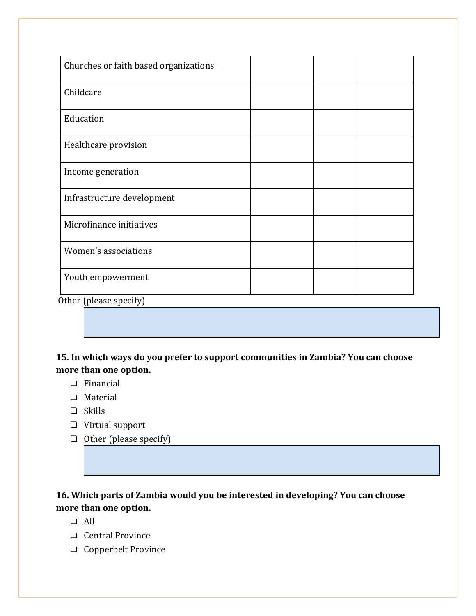| Churches or faith based organizations |  |  |
|---------------------------------------|--|--|
| Childcare                             |  |  |
| Education                             |  |  |
| Healthcare provision                  |  |  |
| Income generation                     |  |  |
| Infrastructure development            |  |  |
| Microfinance initiatives              |  |  |
| Women's associations                  |  |  |
| Youth empowerment                     |  |  |

Other (please specify)

# **15. In which ways do you prefer to support communities in Zambia? You can choose more than one option.**

- ❏ Financial
- ❏ Material
- ❏ Skills
- ❏ Virtual support
- ❏ Other (please specify)

## **16. Which parts of Zambia would you be interested in developing? You can choose more than one option.**

- ❏ All
- ❏ Central Province
- ❏ Copperbelt Province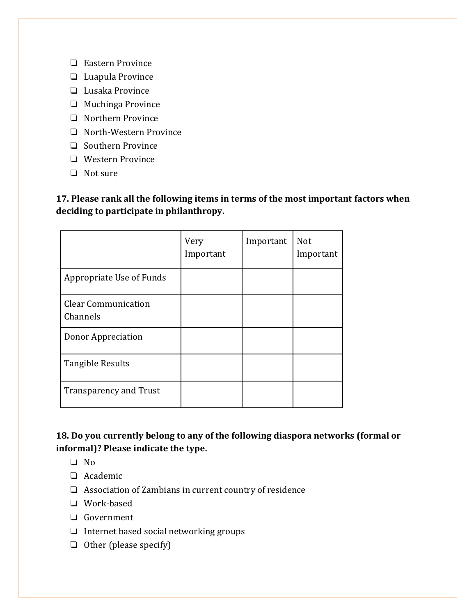- ❏ Eastern Province
- ❏ Luapula Province
- ❏ Lusaka Province
- ❏ Muchinga Province
- ❏ Northern Province
- ❏ North-Western Province
- ❏ Southern Province
- ❏ Western Province
- ❏ Not sure

**17. Please rank all the following items in terms of the most important factors when deciding to participate in philanthropy.**

|                                        | Very<br>Important | Important | Not<br>Important |
|----------------------------------------|-------------------|-----------|------------------|
| Appropriate Use of Funds               |                   |           |                  |
| <b>Clear Communication</b><br>Channels |                   |           |                  |
| Donor Appreciation                     |                   |           |                  |
| <b>Tangible Results</b>                |                   |           |                  |
| <b>Transparency and Trust</b>          |                   |           |                  |

### **18. Do you currently belong to any of the following diaspora networks (formal or informal)? Please indicate the type.**

- ❏ No
- ❏ Academic
- ❏ Association of Zambians in current country of residence
- ❏ Work-based
- ❏ Government
- ❏ Internet based social networking groups
- ❏ Other (please specify)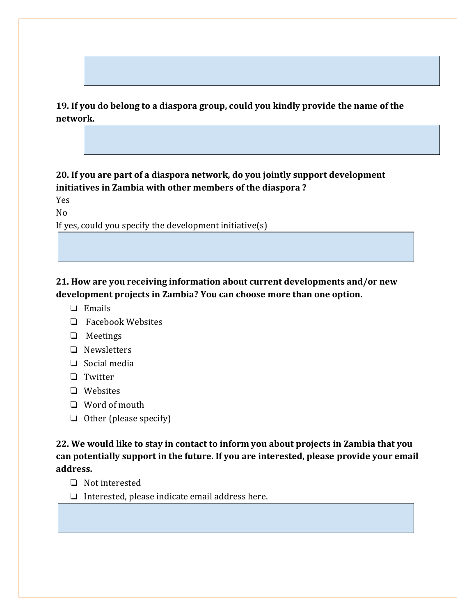**19. If you do belong to a diaspora group, could you kindly provide the name of the network.**

**20. If you are part of a diaspora network, do you jointly support development initiatives in Zambia with other members of the diaspora ?**

Yes

No

If yes, could you specify the development initiative(s)

**21. How are you receiving information about current developments and/or new development projects in Zambia? You can choose more than one option.**

- ❏ Emails
- ❏ Facebook Websites
- ❏ Meetings
- ❏ Newsletters
- ❏ Social media
- ❏ Twitter
- ❏ Websites
- ❏ Word of mouth
- ❏ Other (please specify)

**22. We would like to stay in contact to inform you about projects in Zambia that you can potentially support in the future. If you are interested, please provide your email address.**

- ❏ Not interested
- ❏ Interested, please indicate email address here.